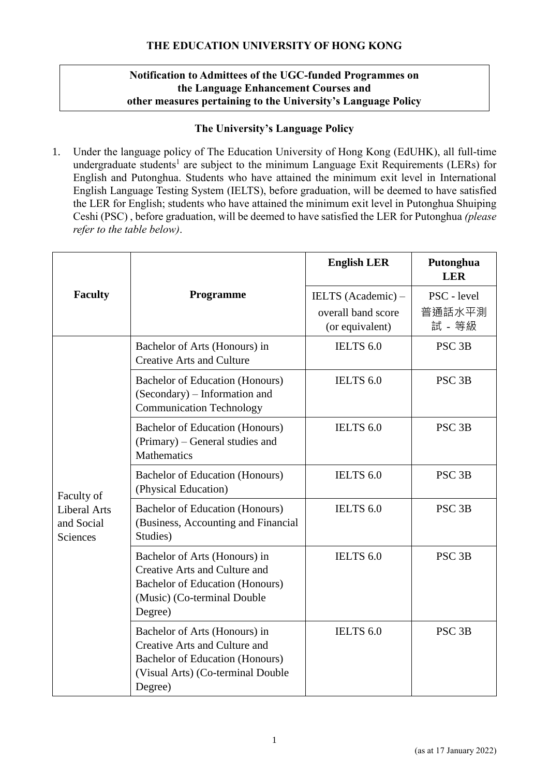### **THE EDUCATION UNIVERSITY OF HONG KONG**

### **Notification to Admittees of the UGC-funded Programmes on the Language Enhancement Courses and other measures pertaining to the University's Language Policy**

#### **The University's Language Policy**

1. Under the language policy of The Education University of Hong Kong (EdUHK), all full-time undergraduate students<sup>1</sup> are subject to the minimum Language Exit Requirements (LERs) for English and Putonghua. Students who have attained the minimum exit level in International English Language Testing System (IELTS), before graduation, will be deemed to have satisfied the LER for English; students who have attained the minimum exit level in Putonghua Shuiping Ceshi (PSC) , before graduation, will be deemed to have satisfied the LER for Putonghua *(please refer to the table below)*.

|                                                             |                                                                                                                                                   | <b>English LER</b>                                          | Putonghua<br><b>LER</b>         |
|-------------------------------------------------------------|---------------------------------------------------------------------------------------------------------------------------------------------------|-------------------------------------------------------------|---------------------------------|
| <b>Faculty</b>                                              | Programme                                                                                                                                         | IELTS (Academic) –<br>overall band score<br>(or equivalent) | PSC - level<br>普通話水平測<br>試 - 等級 |
| Faculty of<br><b>Liberal Arts</b><br>and Social<br>Sciences | Bachelor of Arts (Honours) in<br><b>Creative Arts and Culture</b>                                                                                 | IELTS <sub>6.0</sub>                                        | PSC <sub>3B</sub>               |
|                                                             | Bachelor of Education (Honours)<br>(Secondary) – Information and<br><b>Communication Technology</b>                                               | IELTS <sub>6.0</sub>                                        | PSC <sub>3B</sub>               |
|                                                             | Bachelor of Education (Honours)<br>(Primary) – General studies and<br>Mathematics                                                                 | IELTS <sub>6.0</sub>                                        | PSC <sub>3B</sub>               |
|                                                             | <b>Bachelor of Education (Honours)</b><br>(Physical Education)                                                                                    | IELTS <sub>6.0</sub>                                        | PSC <sub>3B</sub>               |
|                                                             | Bachelor of Education (Honours)<br>(Business, Accounting and Financial<br>Studies)                                                                | IELTS <sub>6.0</sub>                                        | PSC <sub>3B</sub>               |
|                                                             | Bachelor of Arts (Honours) in<br>Creative Arts and Culture and<br>Bachelor of Education (Honours)<br>(Music) (Co-terminal Double<br>Degree)       | IELTS 6.0                                                   | PSC <sub>3B</sub>               |
|                                                             | Bachelor of Arts (Honours) in<br>Creative Arts and Culture and<br>Bachelor of Education (Honours)<br>(Visual Arts) (Co-terminal Double<br>Degree) | IELTS 6.0                                                   | PSC <sub>3B</sub>               |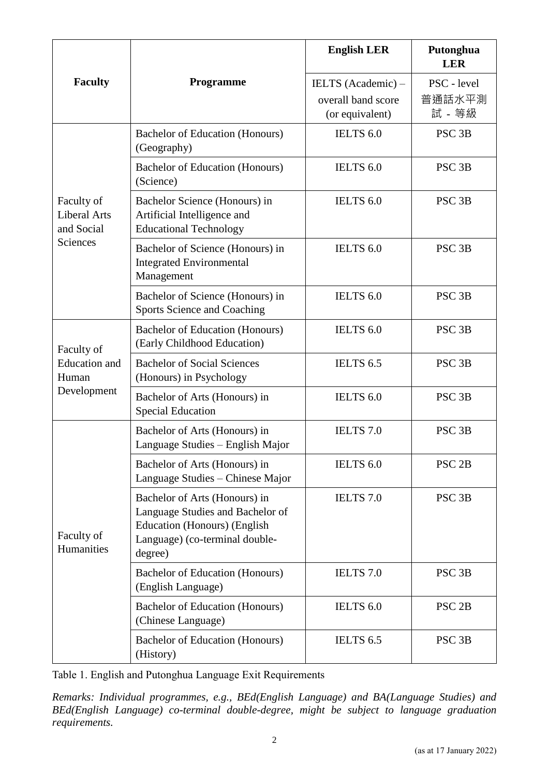| <b>Faculty</b>                                              | Programme                                                                                                                                             | <b>English LER</b>                                          | Putonghua<br><b>LER</b>         |
|-------------------------------------------------------------|-------------------------------------------------------------------------------------------------------------------------------------------------------|-------------------------------------------------------------|---------------------------------|
|                                                             |                                                                                                                                                       | IELTS (Academic) –<br>overall band score<br>(or equivalent) | PSC - level<br>普通話水平測<br>試 - 等級 |
| Faculty of<br><b>Liberal Arts</b><br>and Social<br>Sciences | Bachelor of Education (Honours)<br>(Geography)                                                                                                        | IELTS 6.0                                                   | PSC <sub>3B</sub>               |
|                                                             | <b>Bachelor of Education (Honours)</b><br>(Science)                                                                                                   | IELTS 6.0                                                   | PSC <sub>3B</sub>               |
|                                                             | Bachelor Science (Honours) in<br>Artificial Intelligence and<br><b>Educational Technology</b>                                                         | IELTS 6.0                                                   | PSC <sub>3B</sub>               |
|                                                             | Bachelor of Science (Honours) in<br><b>Integrated Environmental</b><br>Management                                                                     | IELTS 6.0                                                   | PSC <sub>3B</sub>               |
|                                                             | Bachelor of Science (Honours) in<br>Sports Science and Coaching                                                                                       | IELTS 6.0                                                   | PSC <sub>3B</sub>               |
| Faculty of<br><b>Education</b> and<br>Human<br>Development  | Bachelor of Education (Honours)<br>(Early Childhood Education)                                                                                        | IELTS 6.0                                                   | PSC <sub>3B</sub>               |
|                                                             | <b>Bachelor of Social Sciences</b><br>(Honours) in Psychology                                                                                         | IELTS 6.5                                                   | PSC <sub>3B</sub>               |
|                                                             | Bachelor of Arts (Honours) in<br><b>Special Education</b>                                                                                             | IELTS <sub>6.0</sub>                                        | PSC <sub>3B</sub>               |
| Faculty of<br>Humanities                                    | Bachelor of Arts (Honours) in<br>Language Studies - English Major                                                                                     | IELTS <sub>7.0</sub>                                        | PSC <sub>3B</sub>               |
|                                                             | Bachelor of Arts (Honours) in<br>Language Studies - Chinese Major                                                                                     | IELTS 6.0                                                   | PSC <sub>2B</sub>               |
|                                                             | Bachelor of Arts (Honours) in<br>Language Studies and Bachelor of<br><b>Education (Honours) (English</b><br>Language) (co-terminal double-<br>degree) | <b>IELTS</b> 7.0                                            | PSC <sub>3B</sub>               |
|                                                             | Bachelor of Education (Honours)<br>(English Language)                                                                                                 | IELTS 7.0                                                   | PSC <sub>3B</sub>               |
|                                                             | Bachelor of Education (Honours)<br>(Chinese Language)                                                                                                 | IELTS 6.0                                                   | PSC <sub>2B</sub>               |
|                                                             | Bachelor of Education (Honours)<br>(History)                                                                                                          | IELTS 6.5                                                   | PSC <sub>3B</sub>               |

Table 1. English and Putonghua Language Exit Requirements

*Remarks: Individual programmes, e.g., BEd(English Language) and BA(Language Studies) and BEd(English Language) co-terminal double-degree, might be subject to language graduation requirements.*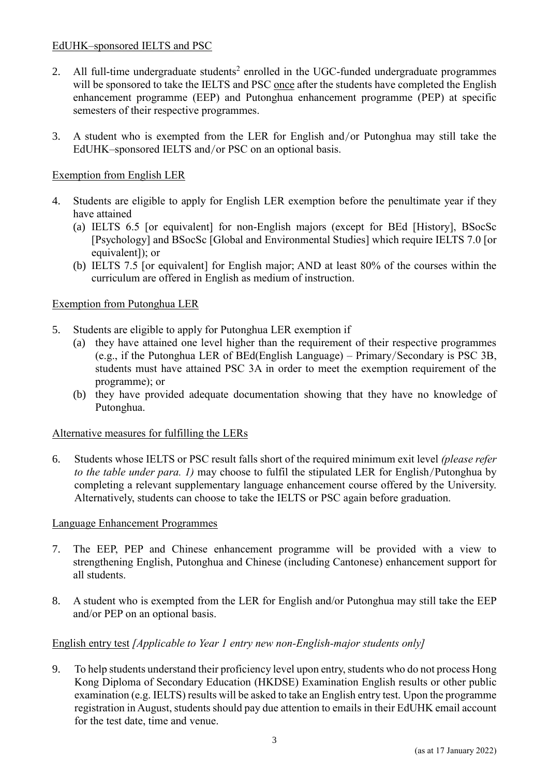### EdUHK–sponsored IELTS and PSC

- 2. All full-time undergraduate students<sup>2</sup> enrolled in the UGC-funded undergraduate programmes will be sponsored to take the IELTS and PSC once after the students have completed the English enhancement programme (EEP) and Putonghua enhancement programme (PEP) at specific semesters of their respective programmes.
- 3. A student who is exempted from the LER for English and/or Putonghua may still take the EdUHK–sponsored IELTS and/or PSC on an optional basis.

# Exemption from English LER

- 4. Students are eligible to apply for English LER exemption before the penultimate year if they have attained
	- (a) IELTS 6.5 [or equivalent] for non-English majors (except for BEd [History], BSocSc [Psychology] and BSocSc [Global and Environmental Studies] which require IELTS 7.0 [or equivalent]); or
	- (b) IELTS 7.5 [or equivalent] for English major; AND at least 80% of the courses within the curriculum are offered in English as medium of instruction.

# Exemption from Putonghua LER

- 5. Students are eligible to apply for Putonghua LER exemption if
	- (a) they have attained one level higher than the requirement of their respective programmes (e.g., if the Putonghua LER of BEd(English Language) – Primary/Secondary is PSC 3B, students must have attained PSC 3A in order to meet the exemption requirement of the programme); or
	- (b) they have provided adequate documentation showing that they have no knowledge of Putonghua.

### Alternative measures for fulfilling the LERs

6. Students whose IELTS or PSC result falls short of the required minimum exit level *(please refer to the table under para. 1)* may choose to fulfil the stipulated LER for English/Putonghua by completing a relevant supplementary language enhancement course offered by the University. Alternatively, students can choose to take the IELTS or PSC again before graduation.

### Language Enhancement Programmes

- 7. The EEP, PEP and Chinese enhancement programme will be provided with a view to strengthening English, Putonghua and Chinese (including Cantonese) enhancement support for all students.
- 8. A student who is exempted from the LER for English and/or Putonghua may still take the EEP and/or PEP on an optional basis.

### English entry test *[Applicable to Year 1 entry new non-English-major students only]*

9. To help students understand their proficiency level upon entry, students who do not process Hong Kong Diploma of Secondary Education (HKDSE) Examination English results or other public examination (e.g. IELTS) results will be asked to take an English entry test. Upon the programme registration in August, students should pay due attention to emails in their EdUHK email account for the test date, time and venue.